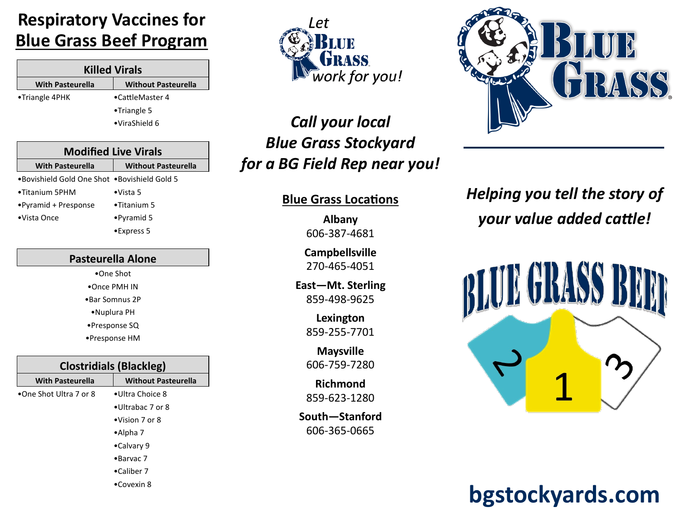### **Respiratory Vaccines for Blue Grass Beef Program**

| <b>Killed Virals</b>    |                            |
|-------------------------|----------------------------|
| <b>With Pasteurella</b> | <b>Without Pasteurella</b> |
| •Triangle 4PHK          | •CattleMaster 4            |
|                         | $\bullet$ Triangle 5       |
|                         | $\bullet$ ViraShield 6     |

| <b>Modified Live Virals</b>                  |                            |  |
|----------------------------------------------|----------------------------|--|
| <b>With Pasteurella</b>                      | <b>Without Pasteurella</b> |  |
| •Bovishield Gold One Shot •Bovishield Gold 5 |                            |  |
| •Titanium 5PHM                               | $\bullet$ Vista 5          |  |
| •Pyramid + Presponse                         | $\bullet$ Titanium 5       |  |
| $\bullet$ Vista Once                         | $\bullet$ Pyramid 5        |  |
|                                              | $\bullet$ Express 5        |  |

| Pasteurella Alone              |                            |  |
|--------------------------------|----------------------------|--|
| $\bullet$ One Shot             |                            |  |
| ∙Once PMH IN                   |                            |  |
| •Bar Somnus 2P                 |                            |  |
| •Nuplura PH                    |                            |  |
| •Presponse SQ                  |                            |  |
| •Presponse HM                  |                            |  |
|                                |                            |  |
| <b>Clostridials (Blackleg)</b> |                            |  |
| <b>With Pasteurella</b>        | <b>Without Pasteurella</b> |  |
| •One Shot Ultra 7 or 8         | $\bullet$ Ultra Choice 8   |  |

# •Ultrabac 7 or 8 •Vision 7 or 8 •Alpha 7 •Calvary 9

•Barvac 7 •Caliber 7

•Covexin 8



### *Call your local Blue Grass Stockyard for a BG Field Rep near you!*

#### **Blue Grass Locations**

**Albany** 606-387-4681

**Campbellsville** 270-465-4051

**East—Mt. Sterling** 859-498-9625

> **Lexington** 859-255-7701

**Maysville** 606-759-7280

**Richmond** 859-623-1280

**South—Stanford** 606-365-0665



### *Helping you tell the story of your value added cattle!*



## **bgstockyards.com**